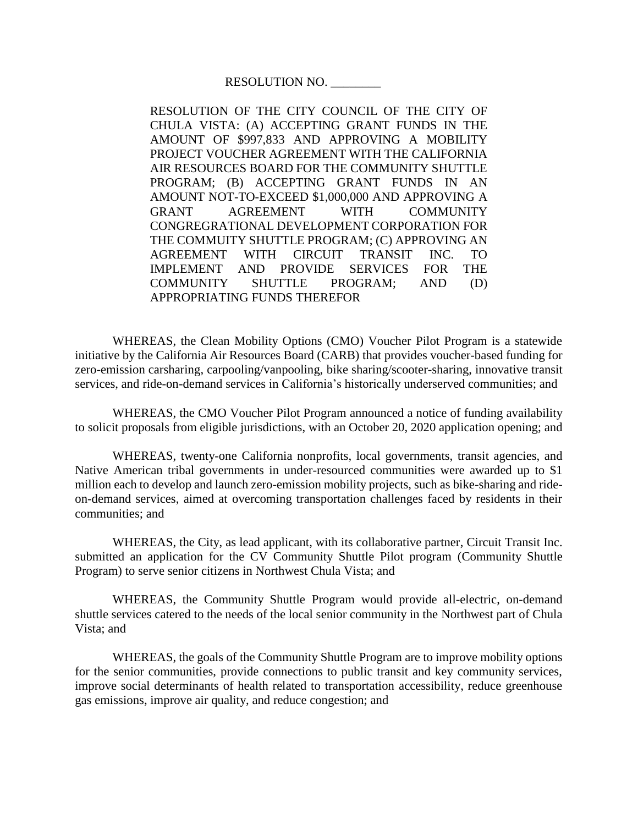RESOLUTION NO. \_\_\_\_\_\_\_\_

RESOLUTION OF THE CITY COUNCIL OF THE CITY OF CHULA VISTA: (A) ACCEPTING GRANT FUNDS IN THE AMOUNT OF \$997,833 AND APPROVING A MOBILITY PROJECT VOUCHER AGREEMENT WITH THE CALIFORNIA AIR RESOURCES BOARD FOR THE COMMUNITY SHUTTLE PROGRAM; (B) ACCEPTING GRANT FUNDS IN AN AMOUNT NOT-TO-EXCEED \$1,000,000 AND APPROVING A GRANT AGREEMENT WITH COMMUNITY CONGREGRATIONAL DEVELOPMENT CORPORATION FOR THE COMMUITY SHUTTLE PROGRAM; (C) APPROVING AN AGREEMENT WITH CIRCUIT TRANSIT INC. TO IMPLEMENT AND PROVIDE SERVICES FOR THE COMMUNITY SHUTTLE PROGRAM; AND (D) APPROPRIATING FUNDS THEREFOR

WHEREAS, the Clean Mobility Options (CMO) Voucher Pilot Program is a statewide initiative by the California Air Resources Board (CARB) that provides voucher-based funding for zero-emission carsharing, carpooling/vanpooling, bike sharing/scooter-sharing, innovative transit services, and ride-on-demand services in California's historically underserved communities; and

WHEREAS, the CMO Voucher Pilot Program announced a notice of funding availability to solicit proposals from eligible jurisdictions, with an October 20, 2020 application opening; and

WHEREAS, twenty-one California nonprofits, local governments, transit agencies, and Native American tribal governments in under-resourced communities were awarded up to \$1 million each to develop and launch zero-emission mobility projects, such as bike-sharing and rideon-demand services, aimed at overcoming transportation challenges faced by residents in their communities; and

WHEREAS, the City, as lead applicant, with its collaborative partner, Circuit Transit Inc. submitted an application for the CV Community Shuttle Pilot program (Community Shuttle Program) to serve senior citizens in Northwest Chula Vista; and

WHEREAS, the Community Shuttle Program would provide all-electric, on-demand shuttle services catered to the needs of the local senior community in the Northwest part of Chula Vista; and

WHEREAS, the goals of the Community Shuttle Program are to improve mobility options for the senior communities, provide connections to public transit and key community services, improve social determinants of health related to transportation accessibility, reduce greenhouse gas emissions, improve air quality, and reduce congestion; and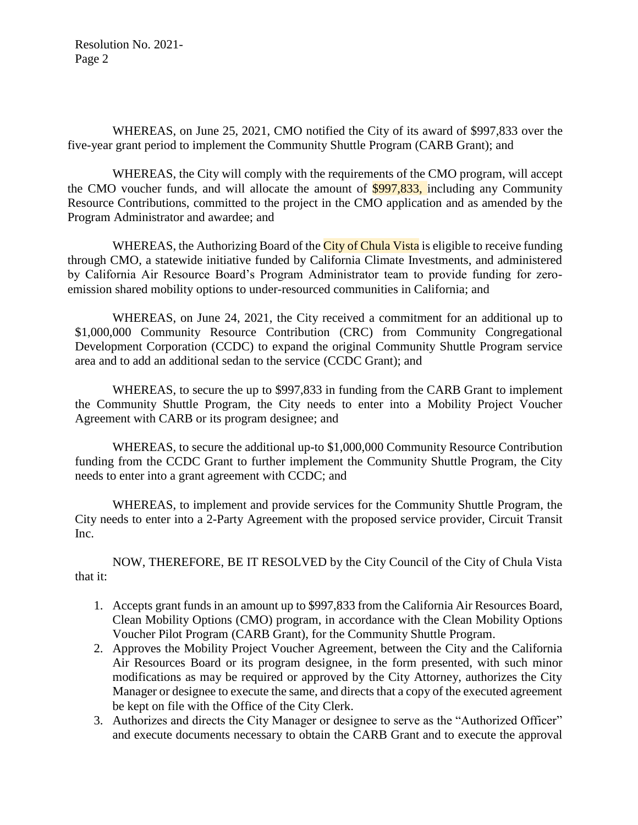Resolution No. 2021- Page 2

WHEREAS, on June 25, 2021, CMO notified the City of its award of \$997,833 over the five-year grant period to implement the Community Shuttle Program (CARB Grant); and

WHEREAS, the City will comply with the requirements of the CMO program, will accept the CMO voucher funds, and will allocate the amount of \$997,833, including any Community Resource Contributions, committed to the project in the CMO application and as amended by the Program Administrator and awardee; and

WHEREAS, the Authorizing Board of the City of Chula Vista is eligible to receive funding through CMO, a statewide initiative funded by California Climate Investments, and administered by California Air Resource Board's Program Administrator team to provide funding for zeroemission shared mobility options to under-resourced communities in California; and

WHEREAS, on June 24, 2021, the City received a commitment for an additional up to \$1,000,000 Community Resource Contribution (CRC) from Community Congregational Development Corporation (CCDC) to expand the original Community Shuttle Program service area and to add an additional sedan to the service (CCDC Grant); and

WHEREAS, to secure the up to \$997,833 in funding from the CARB Grant to implement the Community Shuttle Program, the City needs to enter into a Mobility Project Voucher Agreement with CARB or its program designee; and

WHEREAS, to secure the additional up-to \$1,000,000 Community Resource Contribution funding from the CCDC Grant to further implement the Community Shuttle Program, the City needs to enter into a grant agreement with CCDC; and

WHEREAS, to implement and provide services for the Community Shuttle Program, the City needs to enter into a 2-Party Agreement with the proposed service provider, Circuit Transit Inc.

NOW, THEREFORE, BE IT RESOLVED by the City Council of the City of Chula Vista that it:

- 1. Accepts grant funds in an amount up to \$997,833 from the California Air Resources Board, Clean Mobility Options (CMO) program, in accordance with the Clean Mobility Options Voucher Pilot Program (CARB Grant), for the Community Shuttle Program.
- 2. Approves the Mobility Project Voucher Agreement, between the City and the California Air Resources Board or its program designee, in the form presented, with such minor modifications as may be required or approved by the City Attorney, authorizes the City Manager or designee to execute the same, and directs that a copy of the executed agreement be kept on file with the Office of the City Clerk.
- 3. Authorizes and directs the City Manager or designee to serve as the "Authorized Officer" and execute documents necessary to obtain the CARB Grant and to execute the approval